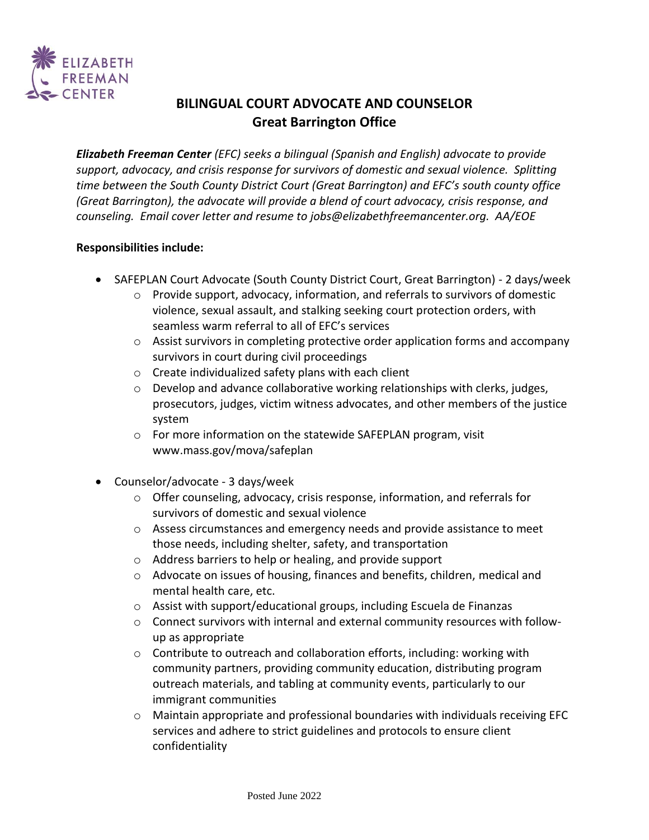

# **BILINGUAL COURT ADVOCATE AND COUNSELOR Great Barrington Office**

*Elizabeth Freeman Center (EFC) seeks a bilingual (Spanish and English) advocate to provide support, advocacy, and crisis response for survivors of domestic and sexual violence. Splitting time between the South County District Court (Great Barrington) and EFC's south county office (Great Barrington), the advocate will provide a blend of court advocacy, crisis response, and counseling. Email cover letter and resume to jobs@elizabethfreemancenter.org. AA/EOE*

#### **Responsibilities include:**

- SAFEPLAN Court Advocate (South County District Court, Great Barrington) 2 days/week
	- $\circ$  Provide support, advocacy, information, and referrals to survivors of domestic violence, sexual assault, and stalking seeking court protection orders, with seamless warm referral to all of EFC's services
	- $\circ$  Assist survivors in completing protective order application forms and accompany survivors in court during civil proceedings
	- o Create individualized safety plans with each client
	- $\circ$  Develop and advance collaborative working relationships with clerks, judges, prosecutors, judges, victim witness advocates, and other members of the justice system
	- o For more information on the statewide SAFEPLAN program, visit www.mass.gov/mova/safeplan
- Counselor/advocate 3 days/week
	- $\circ$  Offer counseling, advocacy, crisis response, information, and referrals for survivors of domestic and sexual violence
	- $\circ$  Assess circumstances and emergency needs and provide assistance to meet those needs, including shelter, safety, and transportation
	- o Address barriers to help or healing, and provide support
	- $\circ$  Advocate on issues of housing, finances and benefits, children, medical and mental health care, etc.
	- o Assist with support/educational groups, including Escuela de Finanzas
	- $\circ$  Connect survivors with internal and external community resources with followup as appropriate
	- o Contribute to outreach and collaboration efforts, including: working with community partners, providing community education, distributing program outreach materials, and tabling at community events, particularly to our immigrant communities
	- $\circ$  Maintain appropriate and professional boundaries with individuals receiving EFC services and adhere to strict guidelines and protocols to ensure client confidentiality